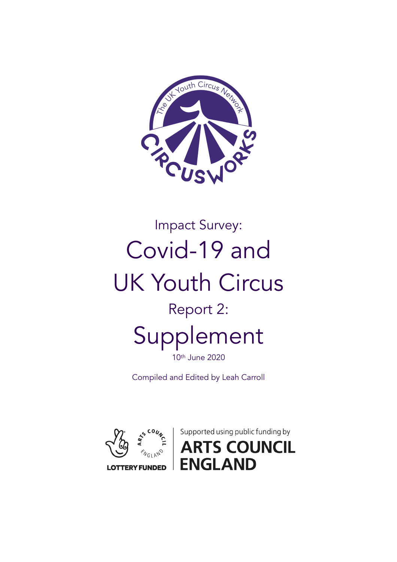

# Impact Survey: Covid-19 and UK Youth Circus Report 2: Supplement

10th June 2020

Compiled and Edited by Leah Carroll



Supported using public funding by **S COUNCIL ENGLAND**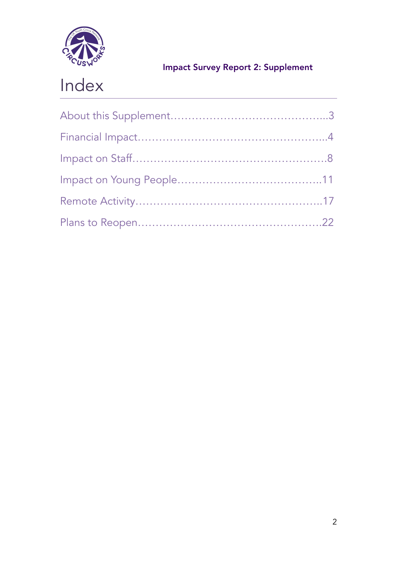

# Index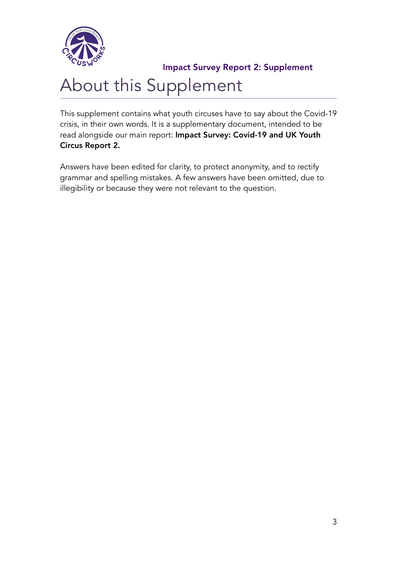

# About this Supplement

This supplement contains what youth circuses have to say about the Covid-19 crisis, in their own words. It is a supplementary document, intended to be read alongside our main report: Impact Survey: Covid-19 and UK Youth Circus Report 2.

Answers have been edited for clarity, to protect anonymity, and to rectify grammar and spelling mistakes. A few answers have been omitted, due to illegibility or because they were not relevant to the question.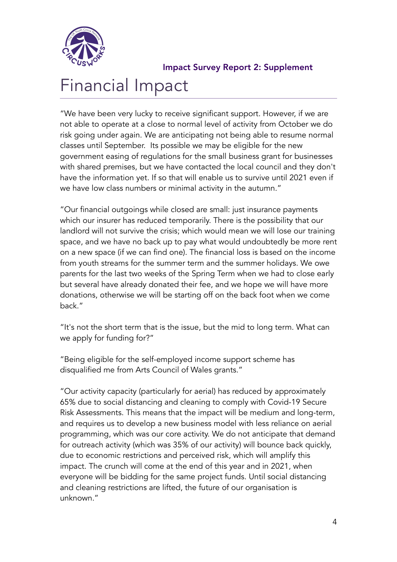

# Financial Impact

"We have been very lucky to receive significant support. However, if we are not able to operate at a close to normal level of activity from October we do risk going under again. We are anticipating not being able to resume normal classes until September. Its possible we may be eligible for the new government easing of regulations for the small business grant for businesses with shared premises, but we have contacted the local council and they don't have the information yet. If so that will enable us to survive until 2021 even if we have low class numbers or minimal activity in the autumn."

"Our financial outgoings while closed are small: just insurance payments which our insurer has reduced temporarily. There is the possibility that our landlord will not survive the crisis; which would mean we will lose our training space, and we have no back up to pay what would undoubtedly be more rent on a new space (if we can find one). The financial loss is based on the income from youth streams for the summer term and the summer holidays. We owe parents for the last two weeks of the Spring Term when we had to close early but several have already donated their fee, and we hope we will have more donations, otherwise we will be starting off on the back foot when we come back."

"It's not the short term that is the issue, but the mid to long term. What can we apply for funding for?"

"Being eligible for the self-employed income support scheme has disqualified me from Arts Council of Wales grants."

"Our activity capacity (particularly for aerial) has reduced by approximately 65% due to social distancing and cleaning to comply with Covid-19 Secure Risk Assessments. This means that the impact will be medium and long-term, and requires us to develop a new business model with less reliance on aerial programming, which was our core activity. We do not anticipate that demand for outreach activity (which was 35% of our activity) will bounce back quickly, due to economic restrictions and perceived risk, which will amplify this impact. The crunch will come at the end of this year and in 2021, when everyone will be bidding for the same project funds. Until social distancing and cleaning restrictions are lifted, the future of our organisation is unknown."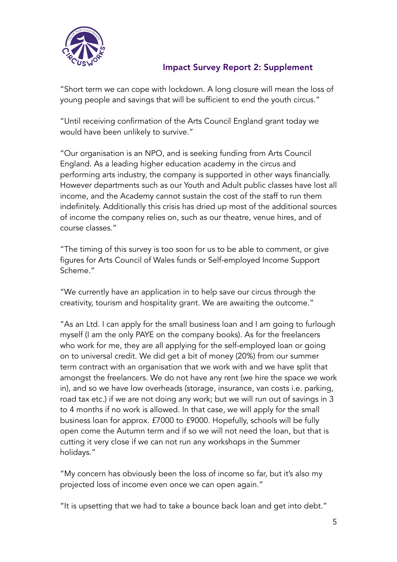

"Short term we can cope with lockdown. A long closure will mean the loss of young people and savings that will be sufficient to end the youth circus."

"Until receiving confirmation of the Arts Council England grant today we would have been unlikely to survive."

"Our organisation is an NPO, and is seeking funding from Arts Council England. As a leading higher education academy in the circus and performing arts industry, the company is supported in other ways financially. However departments such as our Youth and Adult public classes have lost all income, and the Academy cannot sustain the cost of the staff to run them indefinitely. Additionally this crisis has dried up most of the additional sources of income the company relies on, such as our theatre, venue hires, and of course classes."

"The timing of this survey is too soon for us to be able to comment, or give figures for Arts Council of Wales funds or Self-employed Income Support Scheme."

"We currently have an application in to help save our circus through the creativity, tourism and hospitality grant. We are awaiting the outcome."

"As an Ltd. I can apply for the small business loan and I am going to furlough myself (I am the only PAYE on the company books). As for the freelancers who work for me, they are all applying for the self-employed loan or going on to universal credit. We did get a bit of money (20%) from our summer term contract with an organisation that we work with and we have split that amongst the freelancers. We do not have any rent (we hire the space we work in), and so we have low overheads (storage, insurance, van costs i.e. parking, road tax etc.) if we are not doing any work; but we will run out of savings in 3 to 4 months if no work is allowed. In that case, we will apply for the small business loan for approx. £7000 to £9000. Hopefully, schools will be fully open come the Autumn term and if so we will not need the loan, but that is cutting it very close if we can not run any workshops in the Summer holidays."

"My concern has obviously been the loss of income so far, but it's also my projected loss of income even once we can open again."

"It is upsetting that we had to take a bounce back loan and get into debt."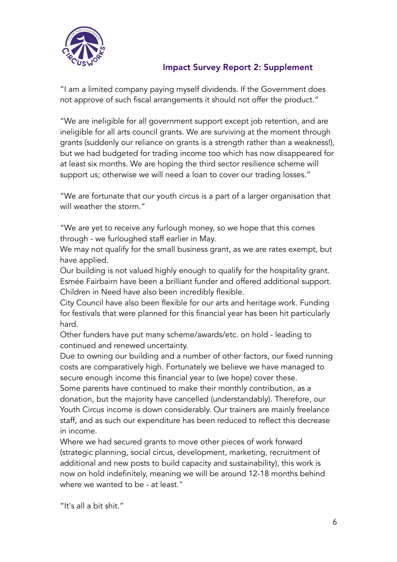

"I am a limited company paying myself dividends. If the Government does not approve of such fiscal arrangements it should not offer the product."

"We are ineligible for all government support except job retention, and are ineligible for all arts council grants. We are surviving at the moment through grants (suddenly our reliance on grants is a strength rather than a weakness!), but we had budgeted for trading income too which has now disappeared for at least six months. We are hoping the third sector resilience scheme will support us; otherwise we will need a loan to cover our trading losses."

"We are fortunate that our youth circus is a part of a larger organisation that will weather the storm."

"We are yet to receive any furlough money, so we hope that this comes through - we furloughed staff earlier in May.

We may not qualify for the small business grant, as we are rates exempt, but have applied.

Our building is not valued highly enough to qualify for the hospitality grant. Esmée Fairbairn have been a brilliant funder and offered additional support. Children in Need have also been incredibly flexible.

City Council have also been flexible for our arts and heritage work. Funding for festivals that were planned for this financial year has been hit particularly hard.

Other funders have put many scheme/awards/etc. on hold - leading to continued and renewed uncertainty.

Due to owning our building and a number of other factors, our fixed running costs are comparatively high. Fortunately we believe we have managed to secure enough income this financial year to (we hope) cover these.

Some parents have continued to make their monthly contribution, as a donation, but the majority have cancelled (understandably). Therefore, our Youth Circus income is down considerably. Our trainers are mainly freelance staff, and as such our expenditure has been reduced to reflect this decrease in income.

Where we had secured grants to move other pieces of work forward (strategic planning, social circus, development, marketing, recruitment of additional and new posts to build capacity and sustainability), this work is now on hold indefinitely, meaning we will be around 12-18 months behind where we wanted to be - at least."

"It's all a bit shit."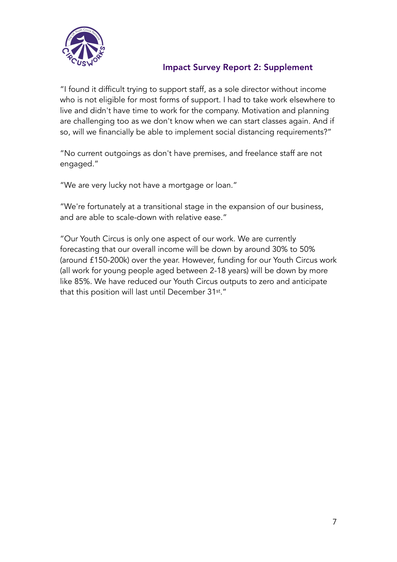

"I found it difficult trying to support staff, as a sole director without income who is not eligible for most forms of support. I had to take work elsewhere to live and didn't have time to work for the company. Motivation and planning are challenging too as we don't know when we can start classes again. And if so, will we financially be able to implement social distancing requirements?"

"No current outgoings as don't have premises, and freelance staff are not engaged."

"We are very lucky not have a mortgage or loan."

"We're fortunately at a transitional stage in the expansion of our business, and are able to scale-down with relative ease."

"Our Youth Circus is only one aspect of our work. We are currently forecasting that our overall income will be down by around 30% to 50% (around £150-200k) over the year. However, funding for our Youth Circus work (all work for young people aged between 2-18 years) will be down by more like 85%. We have reduced our Youth Circus outputs to zero and anticipate that this position will last until December 31st."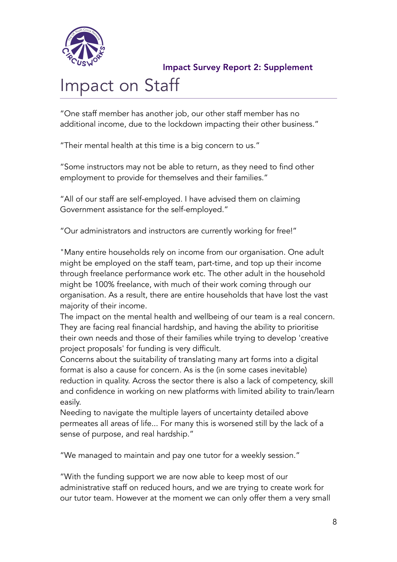

# Impact on Staff

"One staff member has another job, our other staff member has no additional income, due to the lockdown impacting their other business."

"Their mental health at this time is a big concern to us."

"Some instructors may not be able to return, as they need to find other employment to provide for themselves and their families."

"All of our staff are self-employed. I have advised them on claiming Government assistance for the self-employed."

"Our administrators and instructors are currently working for free!"

"Many entire households rely on income from our organisation. One adult might be employed on the staff team, part-time, and top up their income through freelance performance work etc. The other adult in the household might be 100% freelance, with much of their work coming through our organisation. As a result, there are entire households that have lost the vast majority of their income.

The impact on the mental health and wellbeing of our team is a real concern. They are facing real financial hardship, and having the ability to prioritise their own needs and those of their families while trying to develop 'creative project proposals' for funding is very difficult.

Concerns about the suitability of translating many art forms into a digital format is also a cause for concern. As is the (in some cases inevitable) reduction in quality. Across the sector there is also a lack of competency, skill and confidence in working on new platforms with limited ability to train/learn easily.

Needing to navigate the multiple layers of uncertainty detailed above permeates all areas of life... For many this is worsened still by the lack of a sense of purpose, and real hardship."

"We managed to maintain and pay one tutor for a weekly session."

"With the funding support we are now able to keep most of our administrative staff on reduced hours, and we are trying to create work for our tutor team. However at the moment we can only offer them a very small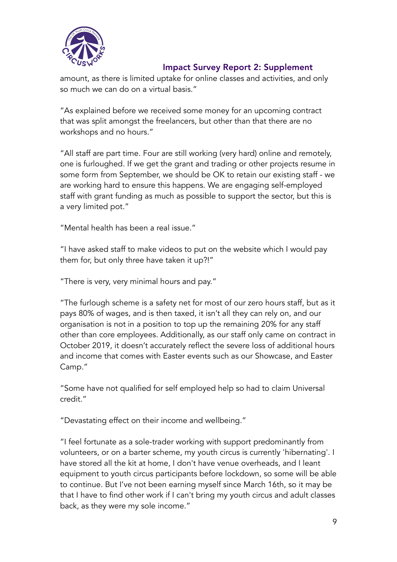

amount, as there is limited uptake for online classes and activities, and only so much we can do on a virtual basis."

"As explained before we received some money for an upcoming contract that was split amongst the freelancers, but other than that there are no workshops and no hours."

"All staff are part time. Four are still working (very hard) online and remotely, one is furloughed. If we get the grant and trading or other projects resume in some form from September, we should be OK to retain our existing staff - we are working hard to ensure this happens. We are engaging self-employed staff with grant funding as much as possible to support the sector, but this is a very limited pot."

"Mental health has been a real issue."

"I have asked staff to make videos to put on the website which I would pay them for, but only three have taken it up?!"

"There is very, very minimal hours and pay."

"The furlough scheme is a safety net for most of our zero hours staff, but as it pays 80% of wages, and is then taxed, it isn't all they can rely on, and our organisation is not in a position to top up the remaining 20% for any staff other than core employees. Additionally, as our staff only came on contract in October 2019, it doesn't accurately reflect the severe loss of additional hours and income that comes with Easter events such as our Showcase, and Easter Camp."

"Some have not qualified for self employed help so had to claim Universal credit."

"Devastating effect on their income and wellbeing."

"I feel fortunate as a sole-trader working with support predominantly from volunteers, or on a barter scheme, my youth circus is currently 'hibernating'. I have stored all the kit at home, I don't have venue overheads, and I leant equipment to youth circus participants before lockdown, so some will be able to continue. But I've not been earning myself since March 16th, so it may be that I have to find other work if I can't bring my youth circus and adult classes back, as they were my sole income."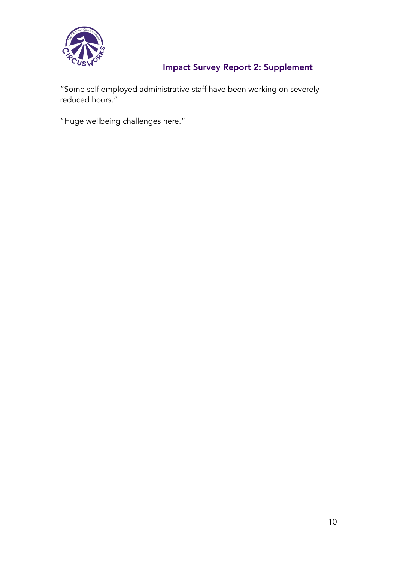

"Some self employed administrative staff have been working on severely reduced hours."

"Huge wellbeing challenges here."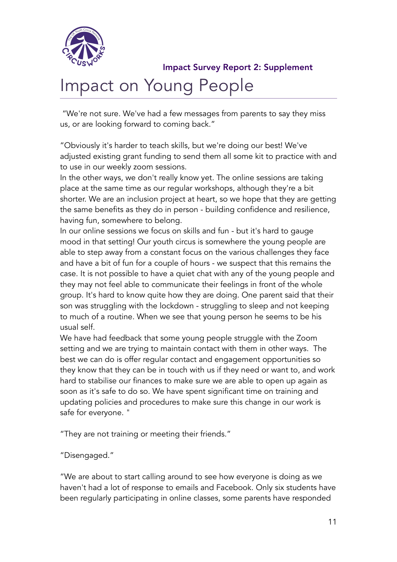

# Impact on Young People

 "We're not sure. We've had a few messages from parents to say they miss us, or are looking forward to coming back."

"Obviously it's harder to teach skills, but we're doing our best! We've adjusted existing grant funding to send them all some kit to practice with and to use in our weekly zoom sessions.

In the other ways, we don't really know yet. The online sessions are taking place at the same time as our regular workshops, although they're a bit shorter. We are an inclusion project at heart, so we hope that they are getting the same benefits as they do in person - building confidence and resilience, having fun, somewhere to belong.

In our online sessions we focus on skills and fun - but it's hard to gauge mood in that setting! Our youth circus is somewhere the young people are able to step away from a constant focus on the various challenges they face and have a bit of fun for a couple of hours - we suspect that this remains the case. It is not possible to have a quiet chat with any of the young people and they may not feel able to communicate their feelings in front of the whole group. It's hard to know quite how they are doing. One parent said that their son was struggling with the lockdown - struggling to sleep and not keeping to much of a routine. When we see that young person he seems to be his usual self.

We have had feedback that some young people struggle with the Zoom setting and we are trying to maintain contact with them in other ways. The best we can do is offer regular contact and engagement opportunities so they know that they can be in touch with us if they need or want to, and work hard to stabilise our finances to make sure we are able to open up again as soon as it's safe to do so. We have spent significant time on training and updating policies and procedures to make sure this change in our work is safe for everyone. "

"They are not training or meeting their friends."

"Disengaged."

"We are about to start calling around to see how everyone is doing as we haven't had a lot of response to emails and Facebook. Only six students have been regularly participating in online classes, some parents have responded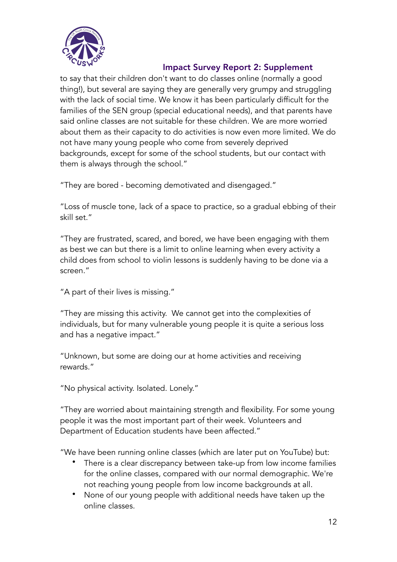

to say that their children don't want to do classes online (normally a good thing!), but several are saying they are generally very grumpy and struggling with the lack of social time. We know it has been particularly difficult for the families of the SEN group (special educational needs), and that parents have said online classes are not suitable for these children. We are more worried about them as their capacity to do activities is now even more limited. We do not have many young people who come from severely deprived backgrounds, except for some of the school students, but our contact with them is always through the school."

"They are bored - becoming demotivated and disengaged."

"Loss of muscle tone, lack of a space to practice, so a gradual ebbing of their skill set."

"They are frustrated, scared, and bored, we have been engaging with them as best we can but there is a limit to online learning when every activity a child does from school to violin lessons is suddenly having to be done via a screen."

"A part of their lives is missing."

"They are missing this activity. We cannot get into the complexities of individuals, but for many vulnerable young people it is quite a serious loss and has a negative impact."

"Unknown, but some are doing our at home activities and receiving rewards."

"No physical activity. Isolated. Lonely."

"They are worried about maintaining strength and flexibility. For some young people it was the most important part of their week. Volunteers and Department of Education students have been affected."

"We have been running online classes (which are later put on YouTube) but:

- There is a clear discrepancy between take-up from low income families for the online classes, compared with our normal demographic. We're not reaching young people from low income backgrounds at all.
- None of our young people with additional needs have taken up the online classes.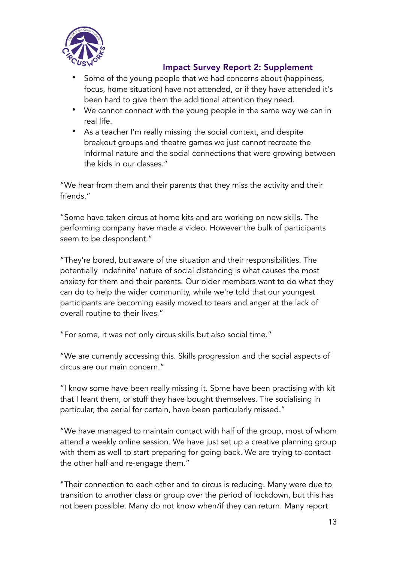

- Some of the young people that we had concerns about (happiness, focus, home situation) have not attended, or if they have attended it's been hard to give them the additional attention they need.
- We cannot connect with the young people in the same way we can in real life.
- As a teacher I'm really missing the social context, and despite breakout groups and theatre games we just cannot recreate the informal nature and the social connections that were growing between the kids in our classes."

"We hear from them and their parents that they miss the activity and their friends."

"Some have taken circus at home kits and are working on new skills. The performing company have made a video. However the bulk of participants seem to be despondent."

"They're bored, but aware of the situation and their responsibilities. The potentially 'indefinite' nature of social distancing is what causes the most anxiety for them and their parents. Our older members want to do what they can do to help the wider community, while we're told that our youngest participants are becoming easily moved to tears and anger at the lack of overall routine to their lives."

"For some, it was not only circus skills but also social time."

"We are currently accessing this. Skills progression and the social aspects of circus are our main concern."

"I know some have been really missing it. Some have been practising with kit that I leant them, or stuff they have bought themselves. The socialising in particular, the aerial for certain, have been particularly missed."

"We have managed to maintain contact with half of the group, most of whom attend a weekly online session. We have just set up a creative planning group with them as well to start preparing for going back. We are trying to contact the other half and re-engage them."

"Their connection to each other and to circus is reducing. Many were due to transition to another class or group over the period of lockdown, but this has not been possible. Many do not know when/if they can return. Many report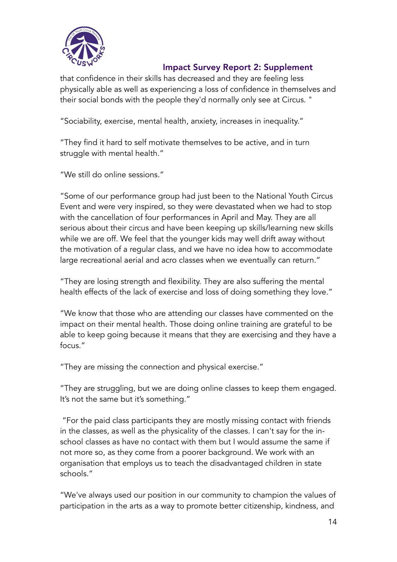

that confidence in their skills has decreased and they are feeling less physically able as well as experiencing a loss of confidence in themselves and their social bonds with the people they'd normally only see at Circus. "

"Sociability, exercise, mental health, anxiety, increases in inequality."

"They find it hard to self motivate themselves to be active, and in turn struggle with mental health."

"We still do online sessions."

"Some of our performance group had just been to the National Youth Circus Event and were very inspired, so they were devastated when we had to stop with the cancellation of four performances in April and May. They are all serious about their circus and have been keeping up skills/learning new skills while we are off. We feel that the younger kids may well drift away without the motivation of a regular class, and we have no idea how to accommodate large recreational aerial and acro classes when we eventually can return."

"They are losing strength and flexibility. They are also suffering the mental health effects of the lack of exercise and loss of doing something they love."

"We know that those who are attending our classes have commented on the impact on their mental health. Those doing online training are grateful to be able to keep going because it means that they are exercising and they have a focus."

"They are missing the connection and physical exercise."

"They are struggling, but we are doing online classes to keep them engaged. It's not the same but it's something."

 "For the paid class participants they are mostly missing contact with friends in the classes, as well as the physicality of the classes. I can't say for the inschool classes as have no contact with them but I would assume the same if not more so, as they come from a poorer background. We work with an organisation that employs us to teach the disadvantaged children in state schools."

"We've always used our position in our community to champion the values of participation in the arts as a way to promote better citizenship, kindness, and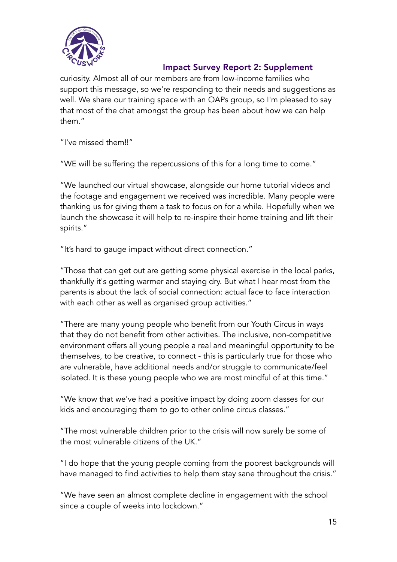

curiosity. Almost all of our members are from low-income families who support this message, so we're responding to their needs and suggestions as well. We share our training space with an OAPs group, so I'm pleased to say that most of the chat amongst the group has been about how we can help them."

"I've missed them!!"

"WE will be suffering the repercussions of this for a long time to come."

"We launched our virtual showcase, alongside our home tutorial videos and the footage and engagement we received was incredible. Many people were thanking us for giving them a task to focus on for a while. Hopefully when we launch the showcase it will help to re-inspire their home training and lift their spirits."

"It's hard to gauge impact without direct connection."

"Those that can get out are getting some physical exercise in the local parks, thankfully it's getting warmer and staying dry. But what I hear most from the parents is about the lack of social connection: actual face to face interaction with each other as well as organised group activities."

"There are many young people who benefit from our Youth Circus in ways that they do not benefit from other activities. The inclusive, non-competitive environment offers all young people a real and meaningful opportunity to be themselves, to be creative, to connect - this is particularly true for those who are vulnerable, have additional needs and/or struggle to communicate/feel isolated. It is these young people who we are most mindful of at this time."

"We know that we've had a positive impact by doing zoom classes for our kids and encouraging them to go to other online circus classes."

"The most vulnerable children prior to the crisis will now surely be some of the most vulnerable citizens of the UK."

"I do hope that the young people coming from the poorest backgrounds will have managed to find activities to help them stay sane throughout the crisis."

"We have seen an almost complete decline in engagement with the school since a couple of weeks into lockdown."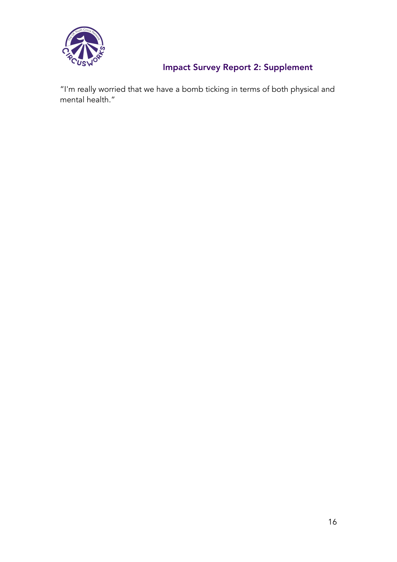

"I'm really worried that we have a bomb ticking in terms of both physical and mental health."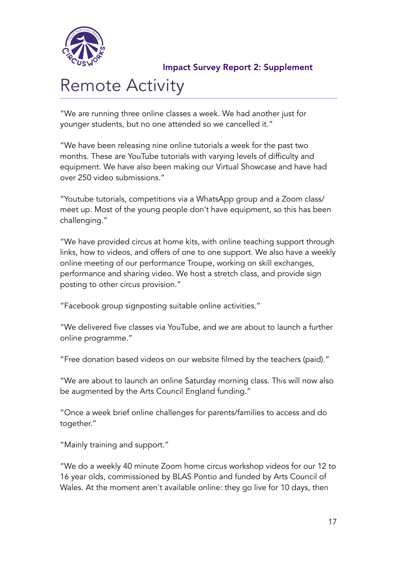

# Remote Activity

"We are running three online classes a week. We had another just for younger students, but no one attended so we cancelled it."

"We have been releasing nine online tutorials a week for the past two months. These are YouTube tutorials with varying levels of difficulty and equipment. We have also been making our Virtual Showcase and have had over 250 video submissions."

"Youtube tutorials, competitions via a WhatsApp group and a Zoom class/ meet up. Most of the young people don't have equipment, so this has been challenging."

"We have provided circus at home kits, with online teaching support through links, how to videos, and offers of one to one support. We also have a weekly online meeting of our performance Troupe, working on skill exchanges, performance and sharing video. We host a stretch class, and provide sign posting to other circus provision."

"Facebook group signposting suitable online activities."

"We delivered five classes via YouTube, and we are about to launch a further online programme."

"Free donation based videos on our website filmed by the teachers (paid)."

"We are about to launch an online Saturday morning class. This will now also be augmented by the Arts Council England funding."

"Once a week brief online challenges for parents/families to access and do together."

"Mainly training and support."

"We do a weekly 40 minute Zoom home circus workshop videos for our 12 to 16 year olds, commissioned by BLAS Pontio and funded by Arts Council of Wales. At the moment aren't available online: they go live for 10 days, then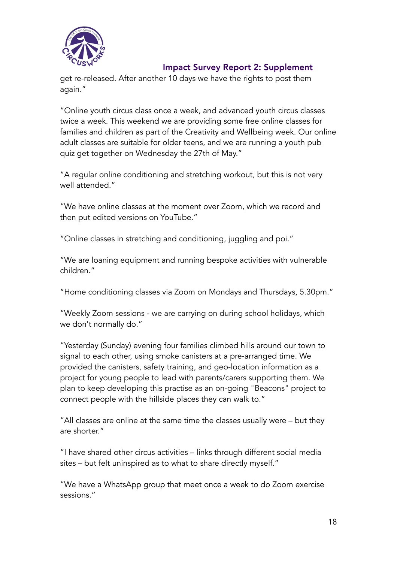

get re-released. After another 10 days we have the rights to post them again."

"Online youth circus class once a week, and advanced youth circus classes twice a week. This weekend we are providing some free online classes for families and children as part of the Creativity and Wellbeing week. Our online adult classes are suitable for older teens, and we are running a youth pub quiz get together on Wednesday the 27th of May."

"A regular online conditioning and stretching workout, but this is not very well attended."

"We have online classes at the moment over Zoom, which we record and then put edited versions on YouTube."

"Online classes in stretching and conditioning, juggling and poi."

"We are loaning equipment and running bespoke activities with vulnerable children."

"Home conditioning classes via Zoom on Mondays and Thursdays, 5.30pm."

"Weekly Zoom sessions - we are carrying on during school holidays, which we don't normally do."

"Yesterday (Sunday) evening four families climbed hills around our town to signal to each other, using smoke canisters at a pre-arranged time. We provided the canisters, safety training, and geo-location information as a project for young people to lead with parents/carers supporting them. We plan to keep developing this practise as an on-going "Beacons" project to connect people with the hillside places they can walk to."

"All classes are online at the same time the classes usually were – but they are shorter."

"I have shared other circus activities – links through different social media sites – but felt uninspired as to what to share directly myself."

"We have a WhatsApp group that meet once a week to do Zoom exercise sessions."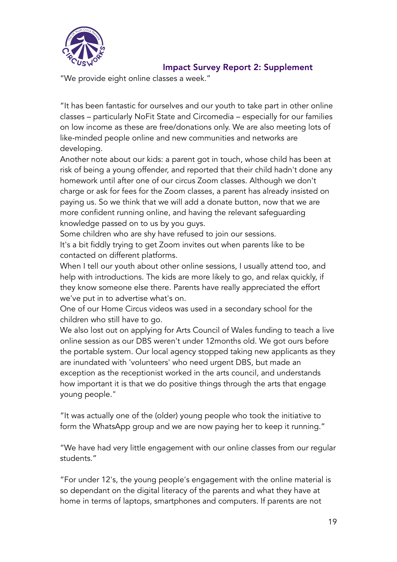

"We provide eight online classes a week."

"It has been fantastic for ourselves and our youth to take part in other online classes – particularly NoFit State and Circomedia – especially for our families on low income as these are free/donations only. We are also meeting lots of like-minded people online and new communities and networks are developing.

Another note about our kids: a parent got in touch, whose child has been at risk of being a young offender, and reported that their child hadn't done any homework until after one of our circus Zoom classes. Although we don't charge or ask for fees for the Zoom classes, a parent has already insisted on paying us. So we think that we will add a donate button, now that we are more confident running online, and having the relevant safeguarding knowledge passed on to us by you guys.

Some children who are shy have refused to join our sessions. It's a bit fiddly trying to get Zoom invites out when parents like to be contacted on different platforms.

When I tell our youth about other online sessions, I usually attend too, and help with introductions. The kids are more likely to go, and relax quickly, if they know someone else there. Parents have really appreciated the effort we've put in to advertise what's on.

One of our Home Circus videos was used in a secondary school for the children who still have to go.

We also lost out on applying for Arts Council of Wales funding to teach a live online session as our DBS weren't under 12months old. We got ours before the portable system. Our local agency stopped taking new applicants as they are inundated with 'volunteers' who need urgent DBS, but made an exception as the receptionist worked in the arts council, and understands how important it is that we do positive things through the arts that engage young people."

"It was actually one of the (older) young people who took the initiative to form the WhatsApp group and we are now paying her to keep it running."

"We have had very little engagement with our online classes from our regular students."

"For under 12's, the young people's engagement with the online material is so dependant on the digital literacy of the parents and what they have at home in terms of laptops, smartphones and computers. If parents are not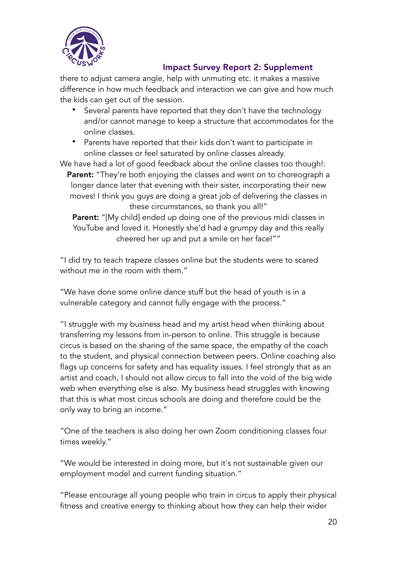

there to adjust camera angle, help with unmuting etc. it makes a massive difference in how much feedback and interaction we can give and how much the kids can get out of the session.

- Several parents have reported that they don't have the technology and/or cannot manage to keep a structure that accommodates for the online classes.
- Parents have reported that their kids don't want to participate in online classes or feel saturated by online classes already.

We have had a lot of good feedback about the online classes too though!: Parent: "They're both enjoying the classes and went on to choreograph a longer dance later that evening with their sister, incorporating their new moves! I think you guys are doing a great job of delivering the classes in these circumstances, so thank you all!"

Parent: "[My child] ended up doing one of the previous midi classes in YouTube and loved it. Honestly she'd had a grumpy day and this really cheered her up and put a smile on her face!""

"I did try to teach trapeze classes online but the students were to scared without me in the room with them."

"We have done some online dance stuff but the head of youth is in a vulnerable category and cannot fully engage with the process."

"I struggle with my business head and my artist head when thinking about transferring my lessons from in-person to online. This struggle is because circus is based on the sharing of the same space, the empathy of the coach to the student, and physical connection between peers. Online coaching also flags up concerns for safety and has equality issues. I feel strongly that as an artist and coach, I should not allow circus to fall into the void of the big wide web when everything else is also. My business head struggles with knowing that this is what most circus schools are doing and therefore could be the only way to bring an income."

"One of the teachers is also doing her own Zoom conditioning classes four times weekly."

"We would be interested in doing more, but it's not sustainable given our employment model and current funding situation."

"Please encourage all young people who train in circus to apply their physical fitness and creative energy to thinking about how they can help their wider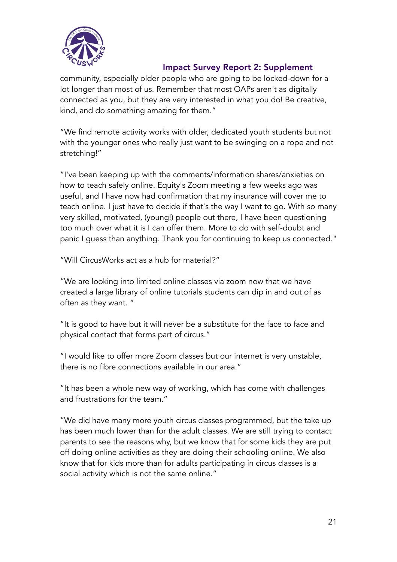

community, especially older people who are going to be locked-down for a lot longer than most of us. Remember that most OAPs aren't as digitally connected as you, but they are very interested in what you do! Be creative, kind, and do something amazing for them."

"We find remote activity works with older, dedicated youth students but not with the younger ones who really just want to be swinging on a rope and not stretching!"

"I've been keeping up with the comments/information shares/anxieties on how to teach safely online. Equity's Zoom meeting a few weeks ago was useful, and I have now had confirmation that my insurance will cover me to teach online. I just have to decide if that's the way I want to go. With so many very skilled, motivated, (young!) people out there, I have been questioning too much over what it is I can offer them. More to do with self-doubt and panic I guess than anything. Thank you for continuing to keep us connected."

"Will CircusWorks act as a hub for material?"

"We are looking into limited online classes via zoom now that we have created a large library of online tutorials students can dip in and out of as often as they want. "

"It is good to have but it will never be a substitute for the face to face and physical contact that forms part of circus."

"I would like to offer more Zoom classes but our internet is very unstable, there is no fibre connections available in our area."

"It has been a whole new way of working, which has come with challenges and frustrations for the team."

"We did have many more youth circus classes programmed, but the take up has been much lower than for the adult classes. We are still trying to contact parents to see the reasons why, but we know that for some kids they are put off doing online activities as they are doing their schooling online. We also know that for kids more than for adults participating in circus classes is a social activity which is not the same online."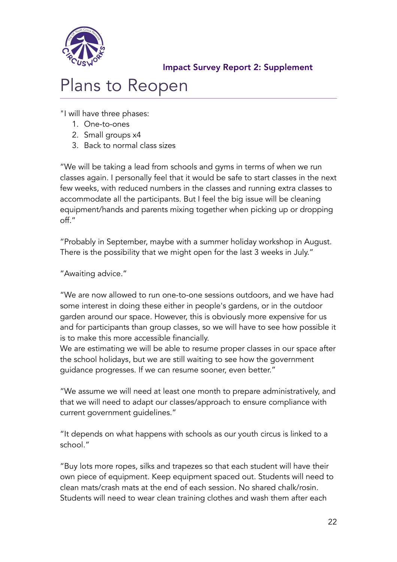

# Plans to Reopen

"I will have three phases:

- 1. One-to-ones
- 2. Small groups x4
- 3. Back to normal class sizes

"We will be taking a lead from schools and gyms in terms of when we run classes again. I personally feel that it would be safe to start classes in the next few weeks, with reduced numbers in the classes and running extra classes to accommodate all the participants. But I feel the big issue will be cleaning equipment/hands and parents mixing together when picking up or dropping off."

"Probably in September, maybe with a summer holiday workshop in August. There is the possibility that we might open for the last 3 weeks in July."

"Awaiting advice."

"We are now allowed to run one-to-one sessions outdoors, and we have had some interest in doing these either in people's gardens, or in the outdoor garden around our space. However, this is obviously more expensive for us and for participants than group classes, so we will have to see how possible it is to make this more accessible financially.

We are estimating we will be able to resume proper classes in our space after the school holidays, but we are still waiting to see how the government guidance progresses. If we can resume sooner, even better."

"We assume we will need at least one month to prepare administratively, and that we will need to adapt our classes/approach to ensure compliance with current government guidelines."

"It depends on what happens with schools as our youth circus is linked to a school."

"Buy lots more ropes, silks and trapezes so that each student will have their own piece of equipment. Keep equipment spaced out. Students will need to clean mats/crash mats at the end of each session. No shared chalk/rosin. Students will need to wear clean training clothes and wash them after each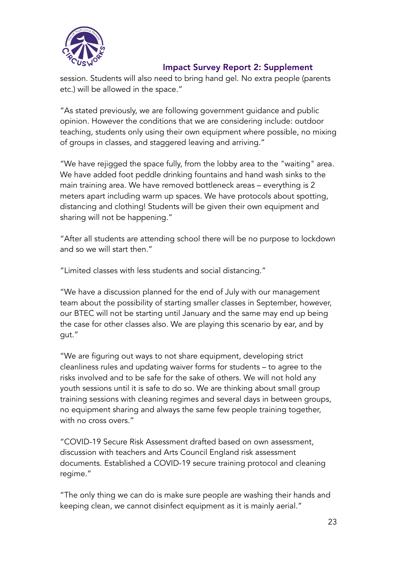

session. Students will also need to bring hand gel. No extra people (parents etc.) will be allowed in the space."

"As stated previously, we are following government guidance and public opinion. However the conditions that we are considering include: outdoor teaching, students only using their own equipment where possible, no mixing of groups in classes, and staggered leaving and arriving."

"We have rejigged the space fully, from the lobby area to the "waiting" area. We have added foot peddle drinking fountains and hand wash sinks to the main training area. We have removed bottleneck areas – everything is 2 meters apart including warm up spaces. We have protocols about spotting, distancing and clothing! Students will be given their own equipment and sharing will not be happening."

"After all students are attending school there will be no purpose to lockdown and so we will start then."

"Limited classes with less students and social distancing."

"We have a discussion planned for the end of July with our management team about the possibility of starting smaller classes in September, however, our BTEC will not be starting until January and the same may end up being the case for other classes also. We are playing this scenario by ear, and by gut."

"We are figuring out ways to not share equipment, developing strict cleanliness rules and updating waiver forms for students – to agree to the risks involved and to be safe for the sake of others. We will not hold any youth sessions until it is safe to do so. We are thinking about small group training sessions with cleaning regimes and several days in between groups, no equipment sharing and always the same few people training together, with no cross overs."

"COVID-19 Secure Risk Assessment drafted based on own assessment, discussion with teachers and Arts Council England risk assessment documents. Established a COVID-19 secure training protocol and cleaning regime."

"The only thing we can do is make sure people are washing their hands and keeping clean, we cannot disinfect equipment as it is mainly aerial."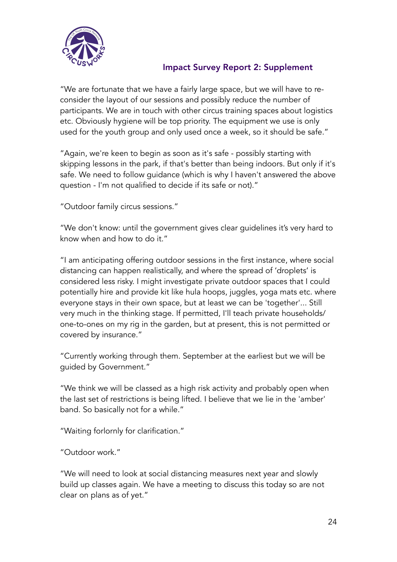

"We are fortunate that we have a fairly large space, but we will have to reconsider the layout of our sessions and possibly reduce the number of participants. We are in touch with other circus training spaces about logistics etc. Obviously hygiene will be top priority. The equipment we use is only used for the youth group and only used once a week, so it should be safe."

"Again, we're keen to begin as soon as it's safe - possibly starting with skipping lessons in the park, if that's better than being indoors. But only if it's safe. We need to follow guidance (which is why I haven't answered the above question - I'm not qualified to decide if its safe or not)."

"Outdoor family circus sessions."

"We don't know: until the government gives clear guidelines it's very hard to know when and how to do it."

"I am anticipating offering outdoor sessions in the first instance, where social distancing can happen realistically, and where the spread of 'droplets' is considered less risky. I might investigate private outdoor spaces that I could potentially hire and provide kit like hula hoops, juggles, yoga mats etc. where everyone stays in their own space, but at least we can be 'together'... Still very much in the thinking stage. If permitted, I'll teach private households/ one-to-ones on my rig in the garden, but at present, this is not permitted or covered by insurance."

"Currently working through them. September at the earliest but we will be guided by Government."

"We think we will be classed as a high risk activity and probably open when the last set of restrictions is being lifted. I believe that we lie in the 'amber' band. So basically not for a while."

"Waiting forlornly for clarification."

"Outdoor work."

"We will need to look at social distancing measures next year and slowly build up classes again. We have a meeting to discuss this today so are not clear on plans as of yet."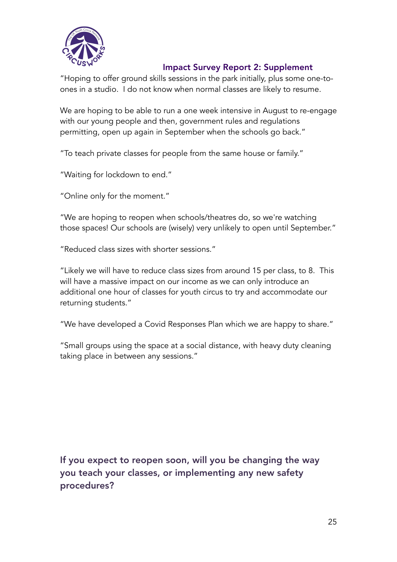

"Hoping to offer ground skills sessions in the park initially, plus some one-toones in a studio. I do not know when normal classes are likely to resume.

We are hoping to be able to run a one week intensive in August to re-engage with our young people and then, government rules and regulations permitting, open up again in September when the schools go back."

"To teach private classes for people from the same house or family."

"Waiting for lockdown to end."

"Online only for the moment."

"We are hoping to reopen when schools/theatres do, so we're watching those spaces! Our schools are (wisely) very unlikely to open until September."

"Reduced class sizes with shorter sessions."

"Likely we will have to reduce class sizes from around 15 per class, to 8. This will have a massive impact on our income as we can only introduce an additional one hour of classes for youth circus to try and accommodate our returning students."

"We have developed a Covid Responses Plan which we are happy to share."

"Small groups using the space at a social distance, with heavy duty cleaning taking place in between any sessions."

If you expect to reopen soon, will you be changing the way you teach your classes, or implementing any new safety procedures?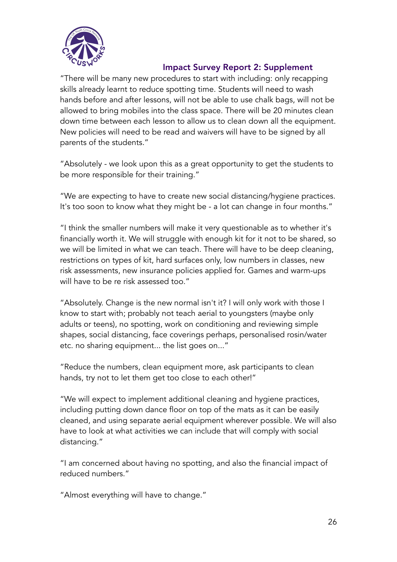

"There will be many new procedures to start with including: only recapping skills already learnt to reduce spotting time. Students will need to wash hands before and after lessons, will not be able to use chalk bags, will not be allowed to bring mobiles into the class space. There will be 20 minutes clean down time between each lesson to allow us to clean down all the equipment. New policies will need to be read and waivers will have to be signed by all parents of the students."

"Absolutely - we look upon this as a great opportunity to get the students to be more responsible for their training."

"We are expecting to have to create new social distancing/hygiene practices. It's too soon to know what they might be - a lot can change in four months."

"I think the smaller numbers will make it very questionable as to whether it's financially worth it. We will struggle with enough kit for it not to be shared, so we will be limited in what we can teach. There will have to be deep cleaning, restrictions on types of kit, hard surfaces only, low numbers in classes, new risk assessments, new insurance policies applied for. Games and warm-ups will have to be re risk assessed too."

"Absolutely. Change is the new normal isn't it? I will only work with those I know to start with; probably not teach aerial to youngsters (maybe only adults or teens), no spotting, work on conditioning and reviewing simple shapes, social distancing, face coverings perhaps, personalised rosin/water etc. no sharing equipment... the list goes on..."

"Reduce the numbers, clean equipment more, ask participants to clean hands, try not to let them get too close to each other!"

"We will expect to implement additional cleaning and hygiene practices, including putting down dance floor on top of the mats as it can be easily cleaned, and using separate aerial equipment wherever possible. We will also have to look at what activities we can include that will comply with social distancing."

"I am concerned about having no spotting, and also the financial impact of reduced numbers."

"Almost everything will have to change."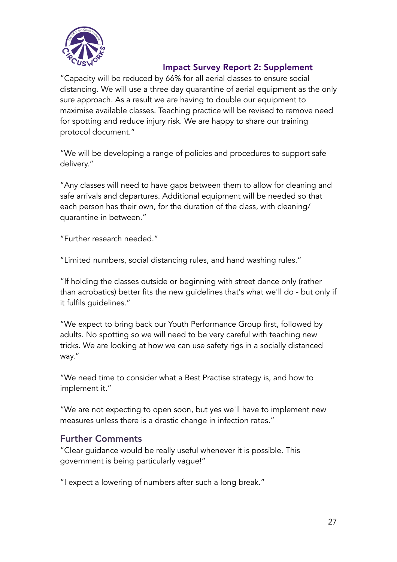

"Capacity will be reduced by 66% for all aerial classes to ensure social distancing. We will use a three day quarantine of aerial equipment as the only sure approach. As a result we are having to double our equipment to maximise available classes. Teaching practice will be revised to remove need for spotting and reduce injury risk. We are happy to share our training protocol document."

"We will be developing a range of policies and procedures to support safe delivery."

"Any classes will need to have gaps between them to allow for cleaning and safe arrivals and departures. Additional equipment will be needed so that each person has their own, for the duration of the class, with cleaning/ quarantine in between."

"Further research needed."

"Limited numbers, social distancing rules, and hand washing rules."

"If holding the classes outside or beginning with street dance only (rather than acrobatics) better fits the new guidelines that's what we'll do - but only if it fulfils guidelines."

"We expect to bring back our Youth Performance Group first, followed by adults. No spotting so we will need to be very careful with teaching new tricks. We are looking at how we can use safety rigs in a socially distanced way."

"We need time to consider what a Best Practise strategy is, and how to implement it."

"We are not expecting to open soon, but yes we'll have to implement new measures unless there is a drastic change in infection rates."

# Further Comments

"Clear guidance would be really useful whenever it is possible. This government is being particularly vague!"

"I expect a lowering of numbers after such a long break."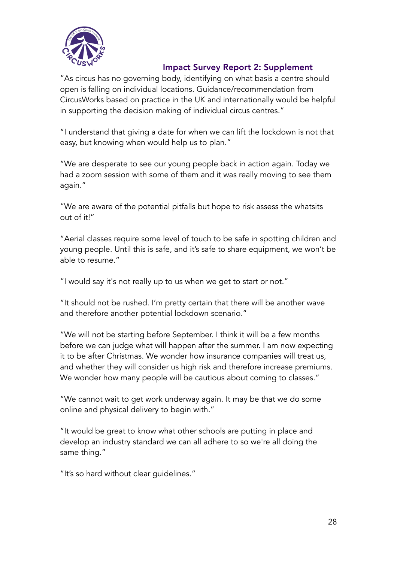

"As circus has no governing body, identifying on what basis a centre should open is falling on individual locations. Guidance/recommendation from CircusWorks based on practice in the UK and internationally would be helpful in supporting the decision making of individual circus centres."

"I understand that giving a date for when we can lift the lockdown is not that easy, but knowing when would help us to plan."

"We are desperate to see our young people back in action again. Today we had a zoom session with some of them and it was really moving to see them again."

"We are aware of the potential pitfalls but hope to risk assess the whatsits out of it!"

"Aerial classes require some level of touch to be safe in spotting children and young people. Until this is safe, and it's safe to share equipment, we won't be able to resume."

"I would say it's not really up to us when we get to start or not."

"It should not be rushed. I'm pretty certain that there will be another wave and therefore another potential lockdown scenario."

"We will not be starting before September. I think it will be a few months before we can judge what will happen after the summer. I am now expecting it to be after Christmas. We wonder how insurance companies will treat us, and whether they will consider us high risk and therefore increase premiums. We wonder how many people will be cautious about coming to classes."

"We cannot wait to get work underway again. It may be that we do some online and physical delivery to begin with."

"It would be great to know what other schools are putting in place and develop an industry standard we can all adhere to so we're all doing the same thing."

"It's so hard without clear guidelines."